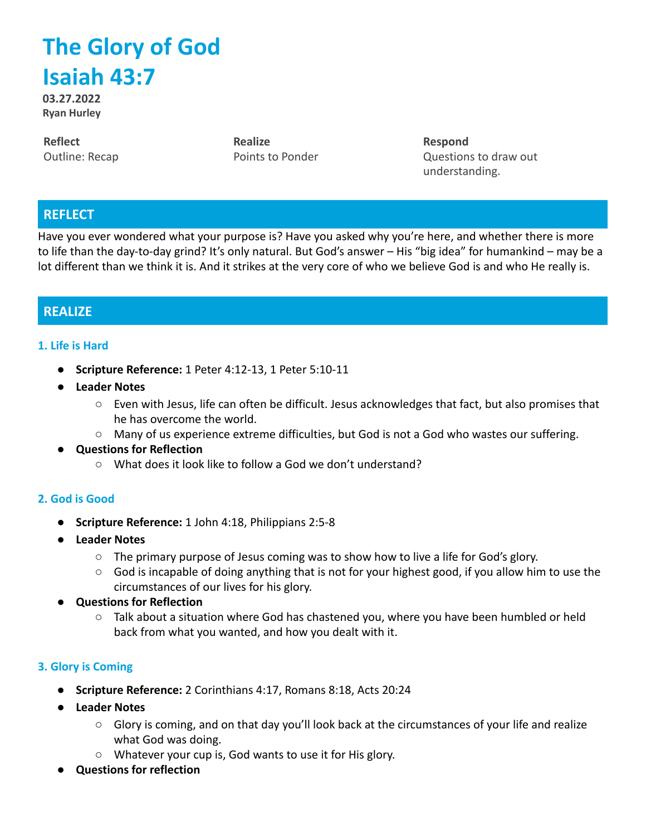# **The Glory of God Isaiah 43:7**

**03.27.2022 Ryan Hurley**

**Reflect** Outline: Recap **Realize** Points to Ponder **Respond** Questions to draw out understanding.

### **REFLECT**

Have you ever wondered what your purpose is? Have you asked why you're here, and whether there is more to life than the day-to-day grind? It's only natural. But God's answer – His "big idea" for humankind – may be a lot different than we think it is. And it strikes at the very core of who we believe God is and who He really is.

## **REALIZE**

#### **1. Life is Hard**

- **● Scripture Reference:** 1 Peter 4:12-13, 1 Peter 5:10-11
- **● Leader Notes**
	- Even with Jesus, life can often be difficult. Jesus acknowledges that fact, but also promises that he has overcome the world.
	- Many of us experience extreme difficulties, but God is not a God who wastes our suffering.
- **Questions for Reflection**
	- What does it look like to follow a God we don't understand?

#### **2. God is Good**

- **● Scripture Reference:** 1 John 4:18, Philippians 2:5-8
- **● Leader Notes**
	- $\circ$  The primary purpose of Jesus coming was to show how to live a life for God's glory.
	- $\circ$  God is incapable of doing anything that is not for your highest good, if you allow him to use the circumstances of our lives for his glory.
- **Questions for Reflection**
	- $\circ$  Talk about a situation where God has chastened you, where you have been humbled or held back from what you wanted, and how you dealt with it.

#### **3. Glory is Coming**

- **● Scripture Reference:** 2 Corinthians 4:17, Romans 8:18, Acts 20:24
- **● Leader Notes**
	- Glory is coming, and on that day you'll look back at the circumstances of your life and realize what God was doing.
	- Whatever your cup is, God wants to use it for His glory.
- **Questions for reflection**